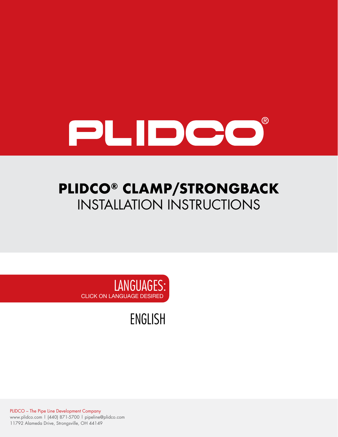

# **PLIDCO® CLAMP/STRONGBACK** INSTALLATION INSTRUCTIONS



[ENGLISH](#page-1-0)

PLIDCO – The Pipe Line Development Company www.plidco.com | (440) 871-5700 | pipeline@plidco.com 11792 Alameda Drive, Strongsville, OH 44149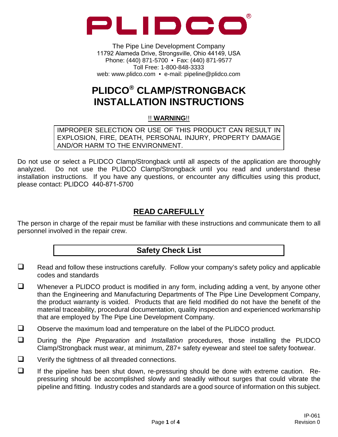<span id="page-1-0"></span>

The Pipe Line Development Company 11792 Alameda Drive, Strongsville, Ohio 44149, USA Phone: (440) 871-5700 • Fax: (440) 871-9577 Toll Free: 1-800-848-3333 web: www.plidco.com • e-mail: pipeline@plidco.com

# **PLIDCO® CLAMP/STRONGBACK INSTALLATION INSTRUCTIONS**

!! **WARNING**!!

IMPROPER SELECTION OR USE OF THIS PRODUCT CAN RESULT IN EXPLOSION, FIRE, DEATH, PERSONAL INJURY, PROPERTY DAMAGE AND/OR HARM TO THE ENVIRONMENT.

Do not use or select a PLIDCO Clamp/Strongback until all aspects of the application are thoroughly analyzed. Do not use the PLIDCO Clamp/Strongback until you read and understand these installation instructions. If you have any questions, or encounter any difficulties using this product, please contact: PLIDCO 440-871-5700

# **READ CAREFULLY**

The person in charge of the repair must be familiar with these instructions and communicate them to all personnel involved in the repair crew.

## **Safety Check List**

- $\Box$  Read and follow these instructions carefully. Follow your company's safety policy and applicable codes and standards
- $\Box$  Whenever a PLIDCO product is modified in any form, including adding a vent, by anyone other than the Engineering and Manufacturing Departments of The Pipe Line Development Company, the product warranty is voided. Products that are field modified do not have the benefit of the material traceability, procedural documentation, quality inspection and experienced workmanship that are employed by The Pipe Line Development Company.
- $\Box$  Observe the maximum load and temperature on the label of the PLIDCO product.
- During the *Pipe Preparation* and *Installation* procedures, those installing the PLIDCO Clamp/Strongback must wear, at minimum, Z87+ safety eyewear and steel toe safety footwear.
- $\Box$  Verify the tightness of all threaded connections.
- $\Box$  If the pipeline has been shut down, re-pressuring should be done with extreme caution. Repressuring should be accomplished slowly and steadily without surges that could vibrate the pipeline and fitting. Industry codes and standards are a good source of information on this subject.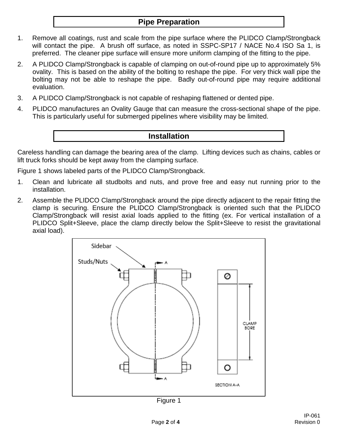## **Pipe Preparation**

- 1. Remove all coatings, rust and scale from the pipe surface where the PLIDCO Clamp/Strongback will contact the pipe. A brush off surface, as noted in SSPC-SP17 / NACE No.4 ISO Sa 1, is preferred. The cleaner pipe surface will ensure more uniform clamping of the fitting to the pipe.
- 2. A PLIDCO Clamp/Strongback is capable of clamping on out-of-round pipe up to approximately 5% ovality. This is based on the ability of the bolting to reshape the pipe. For very thick wall pipe the bolting may not be able to reshape the pipe. Badly out-of-round pipe may require additional evaluation.
- 3. A PLIDCO Clamp/Strongback is not capable of reshaping flattened or dented pipe.
- 4. PLIDCO manufactures an Ovality Gauge that can measure the cross-sectional shape of the pipe. This is particularly useful for submerged pipelines where visibility may be limited.

#### **Installation**

Careless handling can damage the bearing area of the clamp. Lifting devices such as chains, cables or lift truck forks should be kept away from the clamping surface.

Figure 1 shows labeled parts of the PLIDCO Clamp/Strongback.

- 1. Clean and lubricate all studbolts and nuts, and prove free and easy nut running prior to the installation.
- 2. Assemble the PLIDCO Clamp/Strongback around the pipe directly adjacent to the repair fitting the clamp is securing. Ensure the PLIDCO Clamp/Strongback is oriented such that the PLIDCO Clamp/Strongback will resist axial loads applied to the fitting (ex. For vertical installation of a PLIDCO Split+Sleeve, place the clamp directly below the Split+Sleeve to resist the gravitational axial load).



Figure 1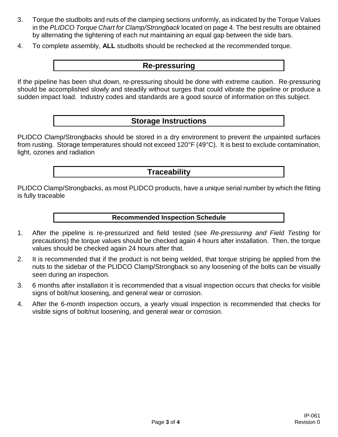- 3. Torque the studbolts and nuts of the clamping sections uniformly, as indicated by the Torque Values in the *PLIDCO Torque Chart for Clamp/Strongback* located on page 4. The best results are obtained by alternating the tightening of each nut maintaining an equal gap between the side bars.
- 4. To complete assembly, **ALL** studbolts should be rechecked at the recommended torque.

#### **Re-pressuring**

If the pipeline has been shut down, re-pressuring should be done with extreme caution. Re-pressuring should be accomplished slowly and steadily without surges that could vibrate the pipeline or produce a sudden impact load. Industry codes and standards are a good source of information on this subject.

#### **Storage Instructions**

PLIDCO Clamp/Strongbacks should be stored in a dry environment to prevent the unpainted surfaces from rusting. Storage temperatures should not exceed 120°F (49°C). It is best to exclude contamination, light, ozones and radiation

#### **Traceability**

PLIDCO Clamp/Strongbacks, as most PLIDCO products, have a unique serial number by which the fitting is fully traceable

**Recommended Inspection Schedule**

- 1. After the pipeline is re-pressurized and field tested (see *Re-pressuring and Field Testing* for precautions) the torque values should be checked again 4 hours after installation. Then, the torque values should be checked again 24 hours after that.
- 2. It is recommended that if the product is not being welded, that torque striping be applied from the nuts to the sidebar of the PLIDCO Clamp/Strongback so any loosening of the bolts can be visually seen during an inspection.
- 3. 6 months after installation it is recommended that a visual inspection occurs that checks for visible signs of bolt/nut loosening, and general wear or corrosion.
- 4. After the 6-month inspection occurs, a yearly visual inspection is recommended that checks for visible signs of bolt/nut loosening, and general wear or corrosion.